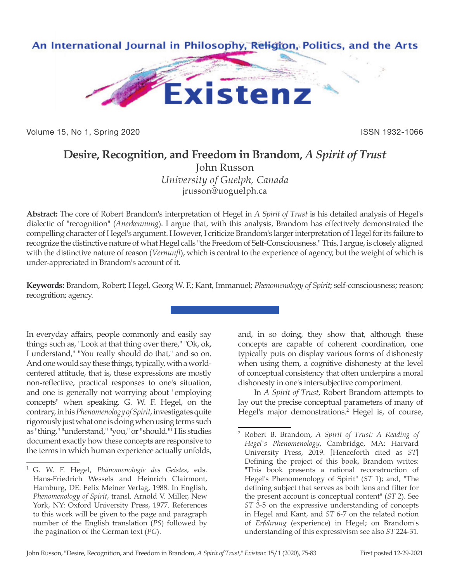

Volume 15, No 1, Spring 2020 **ISSN 1932-1066** 

# **Desire, Recognition, and Freedom in Brandom,** *A Spirit of Trust*

John Russon *University of Guelph, Canada* jrusson@uoguelph.ca

**Abstract:** The core of Robert Brandom's interpretation of Hegel in *A Spirit of Trust* is his detailed analysis of Hegel's dialectic of "recognition" (*Anerkennung*). I argue that, with this analysis, Brandom has effectively demonstrated the compelling character of Hegel's argument. However, I criticize Brandom's larger interpretation of Hegel for its failure to recognize the distinctive nature of what Hegel calls "the Freedom of Self-Consciousness." This, I argue, is closely aligned with the distinctive nature of reason (*Vernunft*), which is central to the experience of agency, but the weight of which is under-appreciated in Brandom's account of it.

**Keywords:** Brandom, Robert; Hegel, Georg W. F.; Kant, Immanuel; *Phenomenology of Spirit*; self-consciousness; reason; recognition; agency.

In everyday affairs, people commonly and easily say things such as, "Look at that thing over there," "Ok, ok, I understand," "You really should do that," and so on. And one would say these things, typically, with a worldcentered attitude, that is, these expressions are mostly non-reflective, practical responses to one's situation, and one is generally not worrying about "employing concepts" when speaking. G. W. F. Hegel, on the contrary, in his *Phenomenology of Spirit*, investigates quite rigorously just what one is doing when using terms such as "thing," "understand," "you," or "should."1 His studies document exactly how these concepts are responsive to the terms in which human experience actually unfolds,

and, in so doing, they show that, although these concepts are capable of coherent coordination, one typically puts on display various forms of dishonesty when using them, a cognitive dishonesty at the level of conceptual consistency that often underpins a moral dishonesty in one's intersubjective comportment.

In *A Spirit of Trust*, Robert Brandom attempts to lay out the precise conceptual parameters of many of Hegel's major demonstrations.<sup>2</sup> Hegel is, of course,

<sup>1</sup> G. W. F. Hegel, *Phänomenologie des Geistes*, eds. Hans-Friedrich Wessels and Heinrich Clairmont, Hamburg, DE: Felix Meiner Verlag, 1988. In English, *Phenomenology of Spirit*, transl. Arnold V. Miller, New York, NY: Oxford University Press, 1977. References to this work will be given to the page and paragraph number of the English translation (*PS*) followed by the pagination of the German text (*PG*).

<sup>2</sup> Robert B. Brandom, *A Spirit of Trust: A Reading of Hegel's Phenomenology*, Cambridge, MA: Harvard University Press, 2019. [Henceforth cited as *ST*] Defining the project of this book, Brandom writes: "This book presents a rational reconstruction of Hegel's Phenomenology of Spirit" (*ST* 1); and, "The defining subject that serves as both lens and filter for the present account is conceptual content" (*ST* 2). See *ST* 3-5 on the expressive understanding of concepts in Hegel and Kant, and *ST* 6-7 on the related notion of *Erfahrung* (experience) in Hegel; on Brandom's understanding of this expressivism see also *ST* 224-31.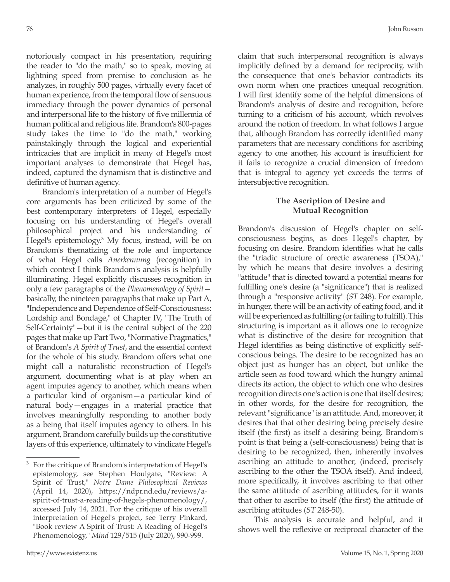notoriously compact in his presentation, requiring the reader to "do the math," so to speak, moving at lightning speed from premise to conclusion as he analyzes, in roughly 500 pages, virtually every facet of human experience, from the temporal flow of sensuous immediacy through the power dynamics of personal and interpersonal life to the history of five millennia of human political and religious life. Brandom's 800-pages study takes the time to "do the math," working painstakingly through the logical and experiential intricacies that are implicit in many of Hegel's most important analyses to demonstrate that Hegel has, indeed, captured the dynamism that is distinctive and definitive of human agency.

Brandom's interpretation of a number of Hegel's core arguments has been criticized by some of the best contemporary interpreters of Hegel, especially focusing on his understanding of Hegel's overall philosophical project and his understanding of Hegel's epistemology.3 My focus, instead, will be on Brandom's thematizing of the role and importance of what Hegel calls *Anerkennung* (recognition) in which context I think Brandom's analysis is helpfully illuminating. Hegel explicitly discusses recognition in only a few paragraphs of the *Phenomenology of Spirit* basically, the nineteen paragraphs that make up Part A, "Independence and Dependence of Self-Consciousness: Lordship and Bondage," of Chapter IV, "The Truth of Self-Certainty"—but it is the central subject of the 220 pages that make up Part Two, "Normative Pragmatics," of Brandom's *A Spirit of Trust*, and the essential context for the whole of his study. Brandom offers what one might call a naturalistic reconstruction of Hegel's argument, documenting what is at play when an agent imputes agency to another, which means when a particular kind of organism—a particular kind of natural body—engages in a material practice that involves meaningfully responding to another body as a being that itself imputes agency to others. In his argument, Brandom carefully builds up the constitutive layers of this experience, ultimately to vindicate Hegel's

claim that such interpersonal recognition is always implicitly defined by a demand for reciprocity, with the consequence that one's behavior contradicts its own norm when one practices unequal recognition. I will first identify some of the helpful dimensions of Brandom's analysis of desire and recognition, before turning to a criticism of his account, which revolves around the notion of freedom. In what follows I argue that, although Brandom has correctly identified many parameters that are necessary conditions for ascribing agency to one another, his account is insufficient for it fails to recognize a crucial dimension of freedom that is integral to agency yet exceeds the terms of intersubjective recognition.

### **The Ascription of Desire and Mutual Recognition**

Brandom's discussion of Hegel's chapter on selfconsciousness begins, as does Hegel's chapter, by focusing on desire. Brandom identifies what he calls the "triadic structure of orectic awareness (TSOA)," by which he means that desire involves a desiring "attitude" that is directed toward a potential means for fulfilling one's desire (a "significance") that is realized through a "responsive activity" (*ST* 248). For example, in hunger, there will be an activity of eating food, and it will be experienced as fulfilling (or failing to fulfill). This structuring is important as it allows one to recognize what is distinctive of the desire for recognition that Hegel identifies as being distinctive of explicitly selfconscious beings. The desire to be recognized has an object just as hunger has an object, but unlike the article seen as food toward which the hungry animal directs its action, the object to which one who desires recognition directs one's action is one that itself desires; in other words, for the desire for recognition, the relevant "significance" is an attitude. And, moreover, it desires that that other desiring being precisely desire itself (the first) as itself a desiring being. Brandom's point is that being a (self-consciousness) being that is desiring to be recognized, then, inherently involves ascribing an attitude to another, (indeed, precisely ascribing to the other the TSOA itself). And indeed, more specifically, it involves ascribing to that other the same attitude of ascribing attitudes, for it wants that other to ascribe to itself (the first) the attitude of ascribing attitudes (*ST* 248-50).

This analysis is accurate and helpful, and it shows well the reflexive or reciprocal character of the

<sup>3</sup> For the critique of Brandom's interpretation of Hegel's epistemology, see Stephen Houlgate, "Review: A Spirit of Trust," *Notre Dame Philosophical Reviews* (April 14, 2020), https://ndpr.nd.edu/reviews/aspirit-of-trust-a-reading-of-hegels-phenomenology/, accessed July 14, 2021. For the critique of his overall interpretation of Hegel's project, see Terry Pinkard, "Book review A Spirit of Trust: A Reading of Hegel's Phenomenology," *Mind* 129/515 (July 2020), 990-999.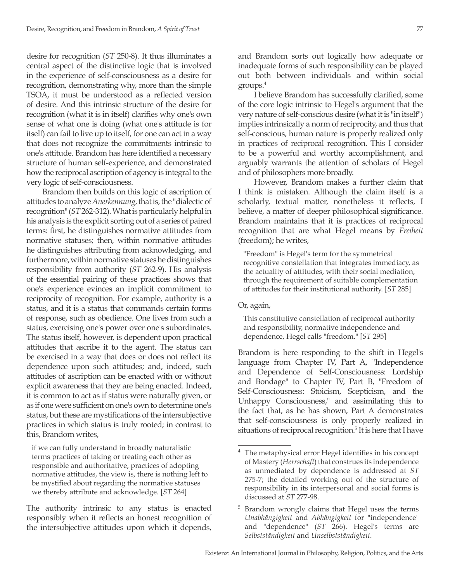desire for recognition (*ST* 250-8). It thus illuminates a central aspect of the distinctive logic that is involved in the experience of self-consciousness as a desire for recognition, demonstrating why, more than the simple TSOA, it must be understood as a reflected version of desire. And this intrinsic structure of the desire for recognition (what it is in itself) clarifies why one's own sense of what one is doing (what one's attitude is for itself) can fail to live up to itself, for one can act in a way that does not recognize the commitments intrinsic to one's attitude. Brandom has here identified a necessary structure of human self-experience, and demonstrated how the reciprocal ascription of agency is integral to the very logic of self-consciousness.

Brandom then builds on this logic of ascription of attitudes to analyze *Anerkennung*, that is, the "dialectic of recognition" (*ST* 262-312). What is particularly helpful in his analysis is the explicit sorting out of a series of paired terms: first, he distinguishes normative attitudes from normative statuses; then, within normative attitudes he distinguishes attributing from acknowledging, and furthermore, within normative statuses he distinguishes responsibility from authority (*ST* 262-9). His analysis of the essential pairing of these practices shows that one's experience evinces an implicit commitment to reciprocity of recognition. For example, authority is a status, and it is a status that commands certain forms of response, such as obedience. One lives from such a status, exercising one's power over one's subordinates. The status itself, however, is dependent upon practical attitudes that ascribe it to the agent. The status can be exercised in a way that does or does not reflect its dependence upon such attitudes; and, indeed, such attitudes of ascription can be enacted with or without explicit awareness that they are being enacted. Indeed, it is common to act as if status were naturally given, or as if one were sufficient on one's own to determine one's status, but these are mystifications of the intersubjective practices in which status is truly rooted; in contrast to this, Brandom writes,

if we can fully understand in broadly naturalistic terms practices of taking or treating each other as responsible and authoritative, practices of adopting normative attitudes, the view is, there is nothing left to be mystified about regarding the normative statuses we thereby attribute and acknowledge. [*ST* 264]

The authority intrinsic to any status is enacted responsibly when it reflects an honest recognition of the intersubjective attitudes upon which it depends,

and Brandom sorts out logically how adequate or inadequate forms of such responsibility can be played out both between individuals and within social groups.4

I believe Brandom has successfully clarified, some of the core logic intrinsic to Hegel's argument that the very nature of self-conscious desire (what it is "in itself") implies intrinsically a norm of reciprocity, and thus that self-conscious, human nature is properly realized only in practices of reciprocal recognition. This I consider to be a powerful and worthy accomplishment, and arguably warrants the attention of scholars of Hegel and of philosophers more broadly.

However, Brandom makes a further claim that I think is mistaken. Although the claim itself is a scholarly, textual matter, nonetheless it reflects, I believe, a matter of deeper philosophical significance. Brandom maintains that it is practices of reciprocal recognition that are what Hegel means by *Freiheit* (freedom); he writes,

"Freedom" is Hegel's term for the symmetrical recognitive constellation that integrates immediacy, as the actuality of attitudes, with their social mediation, through the requirement of suitable complementation of attitudes for their institutional authority. [*ST* 285]

#### Or, again,

This constitutive constellation of reciprocal authority and responsibility, normative independence and dependence, Hegel calls "freedom." [*ST* 295]

Brandom is here responding to the shift in Hegel's language from Chapter IV, Part A, "Independence and Dependence of Self-Consciousness: Lordship and Bondage" to Chapter IV, Part B, "Freedom of Self-Consciousness: Stoicism, Scepticism, and the Unhappy Consciousness," and assimilating this to the fact that, as he has shown, Part A demonstrates that self-consciousness is only properly realized in situations of reciprocal recognition.<sup>5</sup> It is here that I have

<sup>4</sup> The metaphysical error Hegel identifies in his concept of Mastery (*Herrschaft*) that construes its independence as unmediated by dependence is addressed at *ST* 275-7; the detailed working out of the structure of responsibility in its interpersonal and social forms is discussed at *ST* 277-98.

<sup>5</sup> Brandom wrongly claims that Hegel uses the terms *Unabhängigkeit* and *Abhängigkeit* for "independence" and "dependence" (*ST* 266). Hegel's terms are *Selbstständigkeit* and *Unselbstständigkeit*.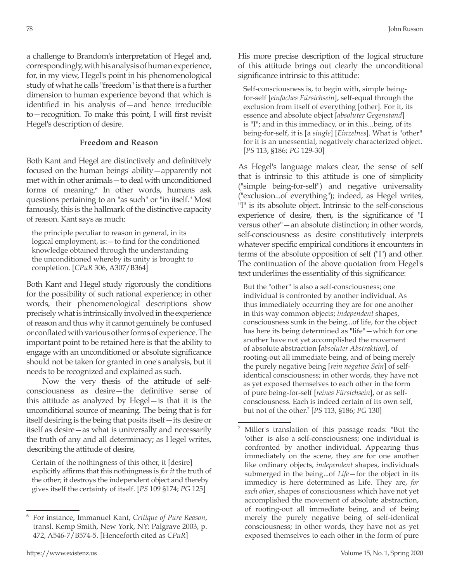a challenge to Brandom's interpretation of Hegel and, correspondingly, with his analysis of human experience, for, in my view, Hegel's point in his phenomenological study of what he calls "freedom" is that there is a further dimension to human experience beyond that which is identified in his analysis of—and hence irreducible to—recognition. To make this point, I will first revisit Hegel's description of desire.

## **Freedom and Reason**

Both Kant and Hegel are distinctively and definitively focused on the human beings' ability—apparently not met with in other animals—to deal with unconditioned forms of meaning.<sup>6</sup> In other words, humans ask questions pertaining to an "as such" or "in itself." Most famously, this is the hallmark of the distinctive capacity of reason. Kant says as much:

the principle peculiar to reason in general, in its logical employment, is:—to find for the conditioned knowledge obtained through the understanding the unconditioned whereby its unity is brought to completion. [*CPuR* 306, A307/B364]

Both Kant and Hegel study rigorously the conditions for the possibility of such rational experience; in other words, their phenomenological descriptions show precisely what is intrinsically involved in the experience of reason and thus why it cannot genuinely be confused or conflated with various other forms of experience. The important point to be retained here is that the ability to engage with an unconditioned or absolute significance should not be taken for granted in one's analysis, but it needs to be recognized and explained as such.

Now the very thesis of the attitude of selfconsciousness as desire—the definitive sense of this attitude as analyzed by Hegel—is that it is the unconditional source of meaning. The being that is for itself desiring is the being that posits itself—its desire or itself as desire—as what is universally and necessarily the truth of any and all determinacy; as Hegel writes, describing the attitude of desire,

Certain of the nothingness of this other, it [desire] explicitly affirms that this nothingness is *for it* the truth of the other; it destroys the independent object and thereby gives itself the certainty of itself. [*PS* 109 §174; *PG* 125]

His more precise description of the logical structure of this attitude brings out clearly the unconditional significance intrinsic to this attitude:

Self-consciousness is, to begin with, simple beingfor-self [*einfaches Fürsichsein*], self-equal through the exclusion from itself of everything [other]. For it, its essence and absolute object [*absoluter Gegenstand*] is "I"; and in this immediacy, or in this...being, of its being-for-self, it is [a *single*] [*Einzelnes*]. What is "other" for it is an unessential, negatively characterized object. [*PS* 113, §186; *PG* 129-30]

As Hegel's language makes clear, the sense of self that is intrinsic to this attitude is one of simplicity ("simple being-for-self") and negative universality ("exclusion...of everything"); indeed, as Hegel writes, "I" is its absolute object. Intrinsic to the self-conscious experience of desire, then, is the significance of "I versus other"—an absolute distinction; in other words, self-consciousness as desire constitutively interprets whatever specific empirical conditions it encounters in terms of the absolute opposition of self ("I") and other. The continuation of the above quotation from Hegel's text underlines the essentiality of this significance:

But the "other" is also a self-consciousness; one individual is confronted by another individual. As thus immediately occurring they are for one another in this way common objects; *independent* shapes, consciousness sunk in the being...of life, for the object has here its being determined as "life"—which for one another have not yet accomplished the movement of absolute abstraction [*absoluter Abstraktion*], of rooting-out all immediate being, and of being merely the purely negative being [*rein negative Sein*] of selfidentical consciousness; in other words, they have not as yet exposed themselves to each other in the form of pure being-for-self [*reines Fürsichsein*], or as selfconsciousness. Each is indeed certain of its own self, but not of the other.7 [*PS* 113, §186; *PG* 130]

<sup>6</sup> For instance, Immanuel Kant, *Critique of Pure Reason*, transl. Kemp Smith, New York, NY: Palgrave 2003, p. 472, A546-7/B574-5. [Henceforth cited as *CPuR*]

<sup>7</sup> Miller's translation of this passage reads: "But the 'other' is also a self-consciousness; one individual is confronted by another individual. Appearing thus immediately on the scene, they are for one another like ordinary objects, *independent* shapes, individuals submerged in the being...of *Life*—for the object in its immedicy is here determined as Life. They are, *for each other*, shapes of consciousness which have not yet accomplished the movement of absolute abstraction, of rooting-out all immediate being, and of being merely the purely negative being of self-identical consciousness; in other words, they have not as yet exposed themselves to each other in the form of pure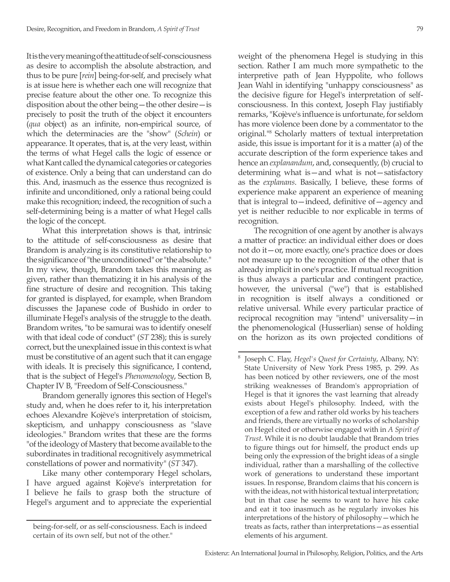It is the very meaning of the attitude of self-consciousness as desire to accomplish the absolute abstraction, and thus to be pure [*rein*] being-for-self, and precisely what is at issue here is whether each one will recognize that precise feature about the other one. To recognize this disposition about the other being—the other desire—is precisely to posit the truth of the object it encounters (*qua* object) as an infinite, non-empirical source, of which the determinacies are the "show" (*Schein*) or appearance. It operates, that is, at the very least, within the terms of what Hegel calls the logic of essence or what Kant called the dynamical categories or categories of existence. Only a being that can understand can do this. And, inasmuch as the essence thus recognized is infinite and unconditioned, only a rational being could make this recognition; indeed, the recognition of such a self-determining being is a matter of what Hegel calls the logic of the concept.

What this interpretation shows is that, intrinsic to the attitude of self-consciousness as desire that Brandom is analyzing is its constitutive relationship to the significance of "the unconditioned" or "the absolute." In my view, though, Brandom takes this meaning as given, rather than thematizing it in his analysis of the fine structure of desire and recognition. This taking for granted is displayed, for example, when Brandom discusses the Japanese code of Bushido in order to illuminate Hegel's analysis of the struggle to the death. Brandom writes, "to be samurai was to identify oneself with that ideal code of conduct" (*ST* 238); this is surely correct, but the unexplained issue in this context is what must be constitutive of an agent such that it can engage with ideals. It is precisely this significance, I contend, that is the subject of Hegel's *Phenomenology*, Section B, Chapter IV B, "Freedom of Self-Consciousness."

Brandom generally ignores this section of Hegel's study and, when he does refer to it, his interpretation echoes Alexandre Kojève's interpretation of stoicism, skepticism, and unhappy consciousness as "slave ideologies." Brandom writes that these are the forms "of the ideology of Mastery that become available to the subordinates in traditional recognitively asymmetrical constellations of power and normativity" (*ST* 347).

Like many other contemporary Hegel scholars, I have argued against Kojève's interpretation for I believe he fails to grasp both the structure of Hegel's argument and to appreciate the experiential

weight of the phenomena Hegel is studying in this section. Rather I am much more sympathetic to the interpretive path of Jean Hyppolite, who follows Jean Wahl in identifying "unhappy consciousness" as the decisive figure for Hegel's interpretation of selfconsciousness. In this context, Joseph Flay justifiably remarks, "Kojève's influence is unfortunate, for seldom has more violence been done by a commentator to the original."8 Scholarly matters of textual interpretation aside, this issue is important for it is a matter (a) of the accurate description of the form experience takes and hence an *explanandum*, and, consequently, (b) crucial to determining what is—and what is not—satisfactory as the *explanans*. Basically, I believe, these forms of experience make apparent an experience of meaning that is integral to—indeed, definitive of—agency and yet is neither reducible to nor explicable in terms of recognition.

The recognition of one agent by another is always a matter of practice: an individual either does or does not do it—or, more exactly, one's practice does or does not measure up to the recognition of the other that is already implicit in one's practice. If mutual recognition is thus always a particular and contingent practice, however, the universal ("we") that is established in recognition is itself always a conditioned or relative universal. While every particular practice of reciprocal recognition may "intend" universality—in the phenomenological (Husserlian) sense of holding on the horizon as its own projected conditions of

being-for-self, or as self-consciousness. Each is indeed certain of its own self, but not of the other."

<sup>8</sup> Joseph C. Flay, *Hegel's Quest for Certainty*, Albany, NY: State University of New York Press 1985, p. 299. As has been noticed by other reviewers, one of the most striking weaknesses of Brandom's appropriation of Hegel is that it ignores the vast learning that already exists about Hegel's philosophy. Indeed, with the exception of a few and rather old works by his teachers and friends, there are virtually no works of scholarship on Hegel cited or otherwise engaged with in *A Spirit of Trust*. While it is no doubt laudable that Brandom tries to figure things out for himself, the product ends up being only the expression of the bright ideas of a single individual, rather than a marshalling of the collective work of generations to understand these important issues. In response, Brandom claims that his concern is with the ideas, not with historical textual interpretation; but in that case he seems to want to have his cake and eat it too inasmuch as he regularly invokes his interpretations of the history of philosophy—which he treats as facts, rather than interpretations—as essential elements of his argument.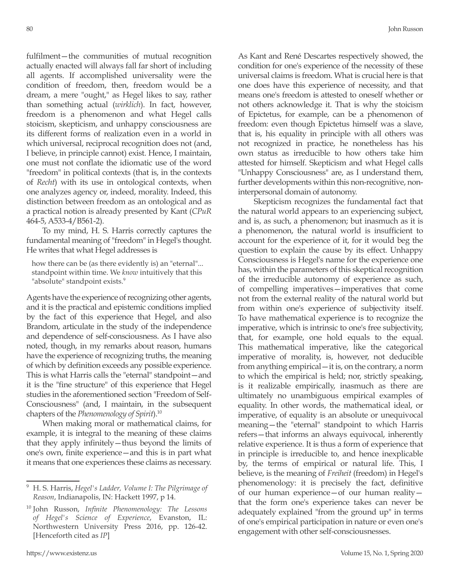fulfilment—the communities of mutual recognition actually enacted will always fall far short of including all agents. If accomplished universality were the condition of freedom, then, freedom would be a dream, a mere "ought," as Hegel likes to say, rather than something actual (*wirklich*). In fact, however, freedom is a phenomenon and what Hegel calls stoicism, skepticism, and unhappy consciousness are its different forms of realization even in a world in which universal, reciprocal recognition does not (and, I believe, in principle cannot) exist. Hence, I maintain, one must not conflate the idiomatic use of the word "freedom" in political contexts (that is, in the contexts of *Recht*) with its use in ontological contexts, when one analyzes agency or, indeed, morality. Indeed, this distinction between freedom as an ontological and as a practical notion is already presented by Kant (*CPuR* 464-5, A533-4/B561-2).

To my mind, H. S. Harris correctly captures the fundamental meaning of "freedom" in Hegel's thought. He writes that what Hegel addresses is

how there can be (as there evidently is) an "eternal"... standpoint within time. We *know* intuitively that this "absolute" standpoint exists.<sup>9</sup>

Agents have the experience of recognizing other agents, and it is the practical and epistemic conditions implied by the fact of this experience that Hegel, and also Brandom, articulate in the study of the independence and dependence of self-consciousness. As I have also noted, though, in my remarks about reason, humans have the experience of recognizing truths, the meaning of which by definition exceeds any possible experience. This is what Harris calls the "eternal" standpoint—and it is the "fine structure" of this experience that Hegel studies in the aforementioned section "Freedom of Self-Consciousness" (and, I maintain, in the subsequent chapters of the *Phenomenology of Spirit*).10

When making moral or mathematical claims, for example, it is integral to the meaning of these claims that they apply infinitely—thus beyond the limits of one's own, finite experience—and this is in part what it means that one experiences these claims as necessary. As Kant and René Descartes respectively showed, the condition for one's experience of the necessity of these universal claims is freedom. What is crucial here is that one does have this experience of necessity, and that means one's freedom is attested to oneself whether or not others acknowledge it. That is why the stoicism of Epictetus, for example, can be a phenomenon of freedom: even though Epictetus himself was a slave, that is, his equality in principle with all others was not recognized in practice, he nonetheless has his own status as irreducible to how others take him attested for himself. Skepticism and what Hegel calls "Unhappy Consciousness" are, as I understand them, further developments within this non-recognitive, noninterpersonal domain of autonomy.

Skepticism recognizes the fundamental fact that the natural world appears to an experiencing subject, and is, as such, a phenomenon; but inasmuch as it is a phenomenon, the natural world is insufficient to account for the experience of it, for it would beg the question to explain the cause by its effect. Unhappy Consciousness is Hegel's name for the experience one has, within the parameters of this skeptical recognition of the irreducible autonomy of experience as such, of compelling imperatives—imperatives that come not from the external reality of the natural world but from within one's experience of subjectivity itself. To have mathematical experience is to recognize the imperative, which is intrinsic to one's free subjectivity, that, for example, one hold equals to the equal. This mathematical imperative, like the categorical imperative of morality, is, however, not deducible from anything empirical—it is, on the contrary, a norm to which the empirical is held; nor, strictly speaking, is it realizable empirically, inasmuch as there are ultimately no unambiguous empirical examples of equality. In other words, the mathematical ideal, or imperative, of equality is an absolute or unequivocal meaning—the "eternal" standpoint to which Harris refers—that informs an always equivocal, inherently relative experience. It is thus a form of experience that in principle is irreducible to, and hence inexplicable by, the terms of empirical or natural life. This, I believe, is the meaning of *Freiheit* (freedom) in Hegel's phenomenology: it is precisely the fact, definitive of our human experience—of our human reality that the form one's experience takes can never be adequately explained "from the ground up" in terms of one's empirical participation in nature or even one's engagement with other self-consciousnesses.

<sup>9</sup> H. S. Harris, *Hegel's Ladder, Volume I: The Pilgrimage of Reason*, Indianapolis, IN: Hackett 1997, p 14.

<sup>10</sup> John Russon, *Infinite Phenomenology: The Lessons of Hegel's Science of Experience*, Evanston, IL: Northwestern University Press 2016, pp. 126-42. [Henceforth cited as *IP*]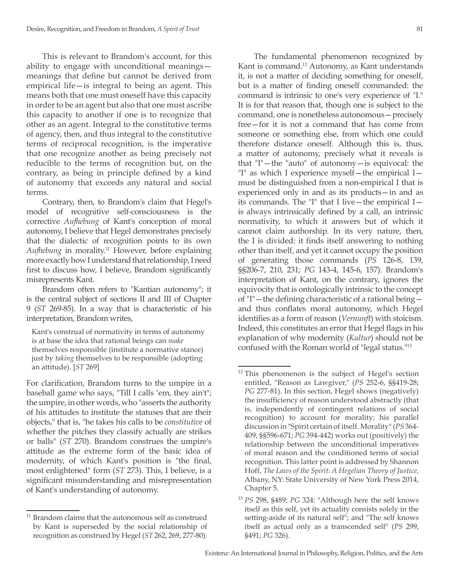This is relevant to Brandom's account, for this ability to engage with unconditional meanings meanings that define but cannot be derived from empirical life—is integral to being an agent. This means both that one must oneself have this capacity in order to be an agent but also that one must ascribe this capacity to another if one is to recognize that other as an agent. Integral to the constitutive terms of agency, then, and thus integral to the constitutive terms of reciprocal recognition, is the imperative that one recognize another as being precisely not reducible to the terms of recognition but, on the contrary, as being in principle defined by a kind of autonomy that exceeds any natural and social terms.

Contrary, then, to Brandom's claim that Hegel's model of recognitive self-consciousness is the corrective *Aufhebung* of Kant's conception of moral autonomy, I believe that Hegel demonstrates precisely that the dialectic of recognition points to its own *Aufhebung* in morality.11 However, before explaining more exactly how I understand that relationship, I need first to discuss how, I believe, Brandom significantly misrepresents Kant.

Brandom often refers to "Kantian autonomy"; it is the central subject of sections II and III of Chapter 9 (*ST* 269-85). In a way that is characteristic of his interpretation, Brandom writes,

Kant's construal of normativity in terms of autonomy is at base the idea that rational beings can *make* themselves responsible (institute a normative stance) just by *taking* themselves to be responsible (adopting an attitude). [*ST* 269]

For clarification, Brandom turns to the umpire in a baseball game who says, "Till I calls 'em, they ain't"; the umpire, in other words, who "asserts the authority of his attitudes to institute the statuses that are their objects," that is, "he takes his calls to be *constitutive* of whether the pitches they classify actually are strikes or balls" (*ST* 270). Brandom construes the umpire's attitude as the extreme form of the basic idea of modernity, of which Kant's position is "the final, most enlightened" form (*ST* 273). This, I believe, is a significant misunderstanding and misrepresentation of Kant's understanding of autonomy.

The fundamental phenomenon recognized by Kant is command.<sup>12</sup> Autonomy, as Kant understands it, is not a matter of deciding something for oneself, but is a matter of finding oneself commanded: the command is intrinsic to one's very experience of "I." It is for that reason that, though one is subject to the command, one is nonetheless autonomous—precisely free—for it is not a command that has come from someone or something else, from which one could therefore distance oneself. Although this is, thus, a matter of autonomy, precisely what it reveals is that "I"—the "auto" of autonomy—is equivocal: the "I" as which I experience myself—the empirical I must be distinguished from a non-empirical I that is experienced only in and as its products—in and as its commands. The "I" that I live—the empirical I is always intrinsically defined by a call, an intrinsic normativity, to which it answers but of which it cannot claim authorship. In its very nature, then, the I is divided: it finds itself answering to nothing other than itself, and yet it cannot occupy the position of generating those commands (*PS* 126-8, 139, §§206-7, 210, 231; *PG* 143-4, 145-6, 157). Brandom's interpretation of Kant, on the contrary, ignores the equivocity that is ontologically intrinsic to the concept of "I"—the defining characteristic of a rational being and thus conflates moral autonomy, which Hegel identifies as a form of reason (*Vernunft*) with stoicism. Indeed, this constitutes an error that Hegel flags in his explanation of why modernity (*Kultur*) should not be confused with the Roman world of "legal status."13

 $^{\rm 11}$  Brandom claims that the autonomous self as construed by Kant is superseded by the social relationship of recognition as construed by Hegel (*ST* 262, 269, 277-80).

 $12$  This phenomenon is the subject of Hegel's section entitled, "Reason as Lawgiver," (*PS* 252-6, §§419-28; *PG* 277-81). In this section, Hegel shows (negatively) the insufficiency of reason understood abstractly (that is, independently of contingent relations of social recognition) to account for morality; his parallel discussion in "Spirit certain of itself. Morality" (*PS* 364- 409, §§596-671; *PG* 394-442) works out (positively) the relationship between the unconditional imperatives of moral reason and the conditioned terms of social recognition. This latter point is addressed by Shannon Hoff, *The Laws of the Spirit: A Hegelian Theory of Justice*, Albany, NY: State University of New York Press 2014, Chapter 5.

<sup>13</sup> *PS* 298, §489; *PG* 324: "Although here the self knows itself as this self, yet its actuality consists solely in the setting-aside of its natural self"; and "The self knows itself as actual only as a transcended self" (*PS* 299, §491; *PG* 326).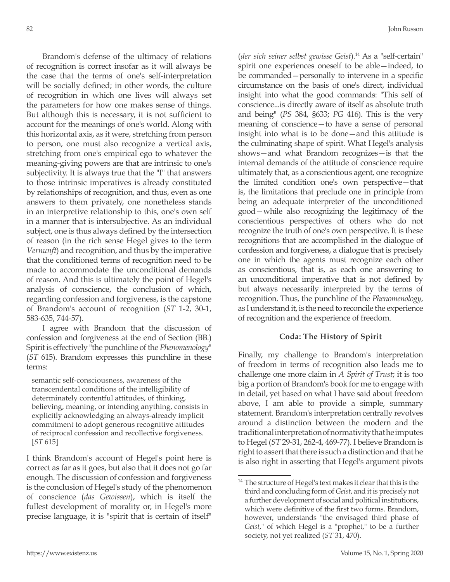Brandom's defense of the ultimacy of relations of recognition is correct insofar as it will always be the case that the terms of one's self-interpretation will be socially defined; in other words, the culture of recognition in which one lives will always set the parameters for how one makes sense of things. But although this is necessary, it is not sufficient to account for the meanings of one's world. Along with this horizontal axis, as it were, stretching from person to person, one must also recognize a vertical axis, stretching from one's empirical ego to whatever the meaning-giving powers are that are intrinsic to one's subjectivity. It is always true that the "I" that answers to those intrinsic imperatives is already constituted by relationships of recognition, and thus, even as one answers to them privately, one nonetheless stands in an interpretive relationship to this, one's own self in a manner that is intersubjective. As an individual subject, one is thus always defined by the intersection of reason (in the rich sense Hegel gives to the term *Vernunft*) and recognition, and thus by the imperative that the conditioned terms of recognition need to be made to accommodate the unconditional demands of reason. And this is ultimately the point of Hegel's analysis of conscience, the conclusion of which, regarding confession and forgiveness, is the capstone of Brandom's account of recognition (*ST* 1-2, 30-1, 583-635, 744-57).

I agree with Brandom that the discussion of confession and forgiveness at the end of Section (BB.) Spirit is effectively "the punchline of the *Phenomenology*" (*ST* 615). Brandom expresses this punchline in these terms:

semantic self-consciousness, awareness of the transcendental conditions of the intelligibility of determinately contentful attitudes, of thinking, believing, meaning, or intending anything, consists in explicitly acknowledging an always-already implicit commitment to adopt generous recognitive attitudes of reciprocal confession and recollective forgiveness. [*ST* 615]

I think Brandom's account of Hegel's point here is correct as far as it goes, but also that it does not go far enough. The discussion of confession and forgiveness is the conclusion of Hegel's study of the phenomenon of conscience (*das Gewissen*), which is itself the fullest development of morality or, in Hegel's more precise language, it is "spirit that is certain of itself" (*der sich seiner selbst gewisse Geist*).14 As a "self-certain" spirit one experiences oneself to be able—indeed, to be commanded—personally to intervene in a specific circumstance on the basis of one's direct, individual insight into what the good commands: "This self of conscience...is directly aware of itself as absolute truth and being" (*PS* 384, §633; *PG* 416). This is the very meaning of conscience—to have a sense of personal insight into what is to be done—and this attitude is the culminating shape of spirit. What Hegel's analysis shows—and what Brandom recognizes—is that the internal demands of the attitude of conscience require ultimately that, as a conscientious agent, one recognize the limited condition one's own perspective—that is, the limitations that preclude one in principle from being an adequate interpreter of the unconditioned good—while also recognizing the legitimacy of the conscientious perspectives of others who do not recognize the truth of one's own perspective. It is these recognitions that are accomplished in the dialogue of confession and forgiveness, a dialogue that is precisely one in which the agents must recognize each other as conscientious, that is, as each one answering to an unconditional imperative that is not defined by but always necessarily interpreted by the terms of recognition. Thus, the punchline of the *Phenomenology*, as I understand it, is the need to reconcile the experience of recognition and the experience of freedom.

#### **Coda: The History of Spirit**

Finally, my challenge to Brandom's interpretation of freedom in terms of recognition also leads me to challenge one more claim in *A Spirit of Trust*; it is too big a portion of Brandom's book for me to engage with in detail, yet based on what I have said about freedom above, I am able to provide a simple, summary statement. Brandom's interpretation centrally revolves around a distinction between the modern and the traditional interpretation of normativity that he imputes to Hegel (*ST* 29-31, 262-4, 469-77). I believe Brandom is right to assert that there is such a distinction and that he is also right in asserting that Hegel's argument pivots

<sup>&</sup>lt;sup>14</sup> The structure of Hegel's text makes it clear that this is the third and concluding form of *Geist*, and it is precisely not a further development of social and political institutions, which were definitive of the first two forms. Brandom, however, understands "the envisaged third phase of *Geist*," of which Hegel is a "prophet," to be a further society, not yet realized (*ST* 31, 470).